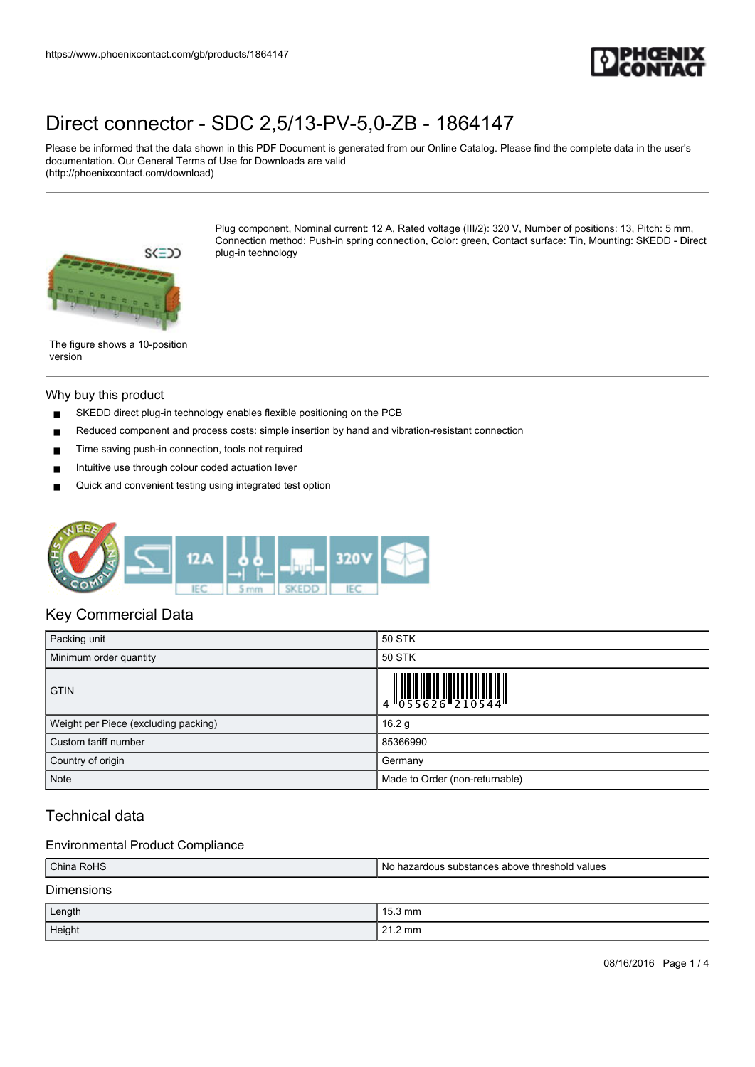

Please be informed that the data shown in this PDF Document is generated from our Online Catalog. Please find the complete data in the user's documentation. Our General Terms of Use for Downloads are valid (http://phoenixcontact.com/download)



Plug component, Nominal current: 12 A, Rated voltage (III/2): 320 V, Number of positions: 13, Pitch: 5 mm, Connection method: Push-in spring connection, Color: green, Contact surface: Tin, Mounting: SKEDD - Direct plug-in technology

The figure shows a 10-position version

#### Why buy this product

- SKEDD direct plug-in technology enables flexible positioning on the PCB
- Reduced component and process costs: simple insertion by hand and vibration-resistant connection
- Time saving push-in connection, tools not required
- Intuitive use through colour coded actuation lever
- Quick and convenient testing using integrated test option



### Key Commercial Data

| Packing unit                         | 50 STK                         |
|--------------------------------------|--------------------------------|
| Minimum order quantity               | 50 STK                         |
| <b>GTIN</b>                          |                                |
| Weight per Piece (excluding packing) | 16.2 <sub>g</sub>              |
| Custom tariff number                 | 85366990                       |
| Country of origin                    | Germany                        |
| <b>Note</b>                          | Made to Order (non-returnable) |

## Technical data

### Environmental Product Compliance

| China RoHS        | l No hazardous substances above threshold values |  |
|-------------------|--------------------------------------------------|--|
| <b>Dimensions</b> |                                                  |  |
| Length            | $15.3 \text{ mm}$                                |  |
| Height            | $21.2 \text{ mm}$                                |  |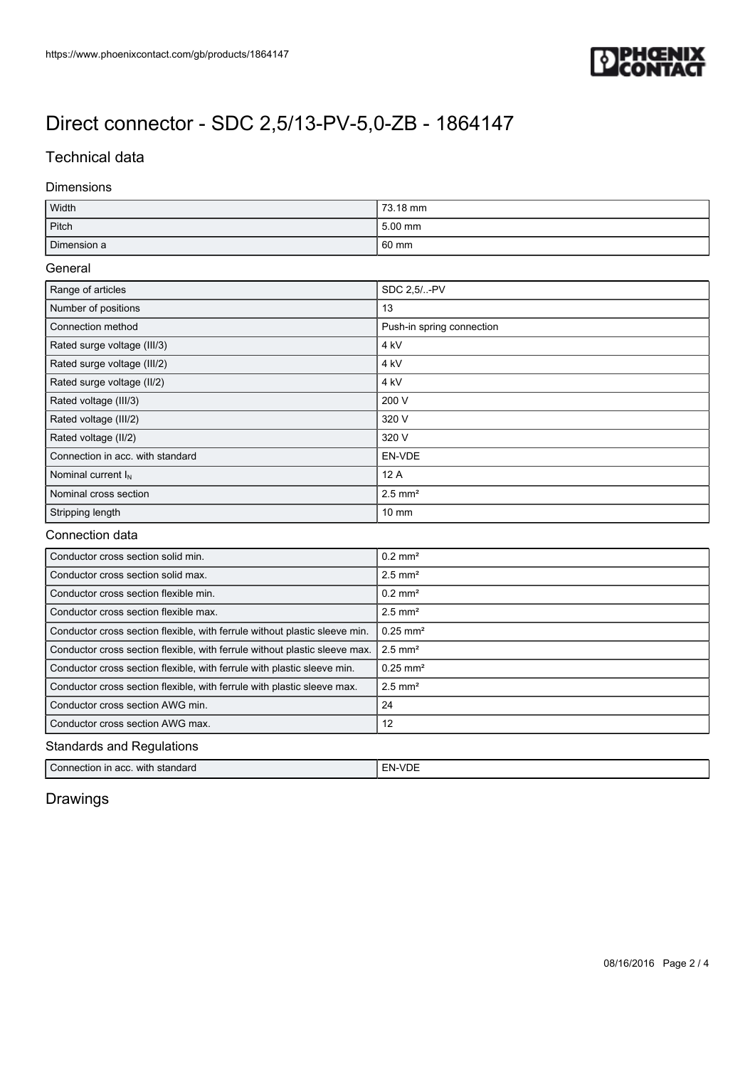

### Technical data

### Dimensions

| Width       | 73.18 mm |
|-------------|----------|
| Pitch       | 5.00 mm  |
| Dimension a | 60 mm    |

### General

| Range of articles                | SDC 2.5/-PV               |
|----------------------------------|---------------------------|
| Number of positions              | 13                        |
| Connection method                | Push-in spring connection |
| Rated surge voltage (III/3)      | 4 <sub>kV</sub>           |
| Rated surge voltage (III/2)      | 4 kV                      |
| Rated surge voltage (II/2)       | 4 kV                      |
| Rated voltage (III/3)            | 200 V                     |
| Rated voltage (III/2)            | 320 V                     |
| Rated voltage (II/2)             | 320 V                     |
| Connection in acc. with standard | EN-VDE                    |
| Nominal current $I_N$            | 12A                       |
| Nominal cross section            | $2.5$ mm <sup>2</sup>     |
| Stripping length                 | $10 \text{ mm}$           |

### Connection data

| Conductor cross section solid min.                                         | $0.2$ mm <sup>2</sup>  |  |
|----------------------------------------------------------------------------|------------------------|--|
| Conductor cross section solid max.                                         | $2.5$ mm <sup>2</sup>  |  |
| Conductor cross section flexible min.                                      | $0.2$ mm <sup>2</sup>  |  |
| Conductor cross section flexible max.                                      | $2.5$ mm <sup>2</sup>  |  |
| Conductor cross section flexible, with ferrule without plastic sleeve min. | $0.25$ mm <sup>2</sup> |  |
| Conductor cross section flexible, with ferrule without plastic sleeve max. | $2.5$ mm <sup>2</sup>  |  |
| Conductor cross section flexible, with ferrule with plastic sleeve min.    | $0.25$ mm <sup>2</sup> |  |
| Conductor cross section flexible, with ferrule with plastic sleeve max.    | $2.5$ mm <sup>2</sup>  |  |
| Conductor cross section AWG min.                                           | 24                     |  |
| Conductor cross section AWG max.                                           | 12                     |  |
| <b>Standards and Regulations</b>                                           |                        |  |

| Connection in<br>with<br>standard<br>in acc. | - Ni-<br>-- |
|----------------------------------------------|-------------|
|----------------------------------------------|-------------|

# Drawings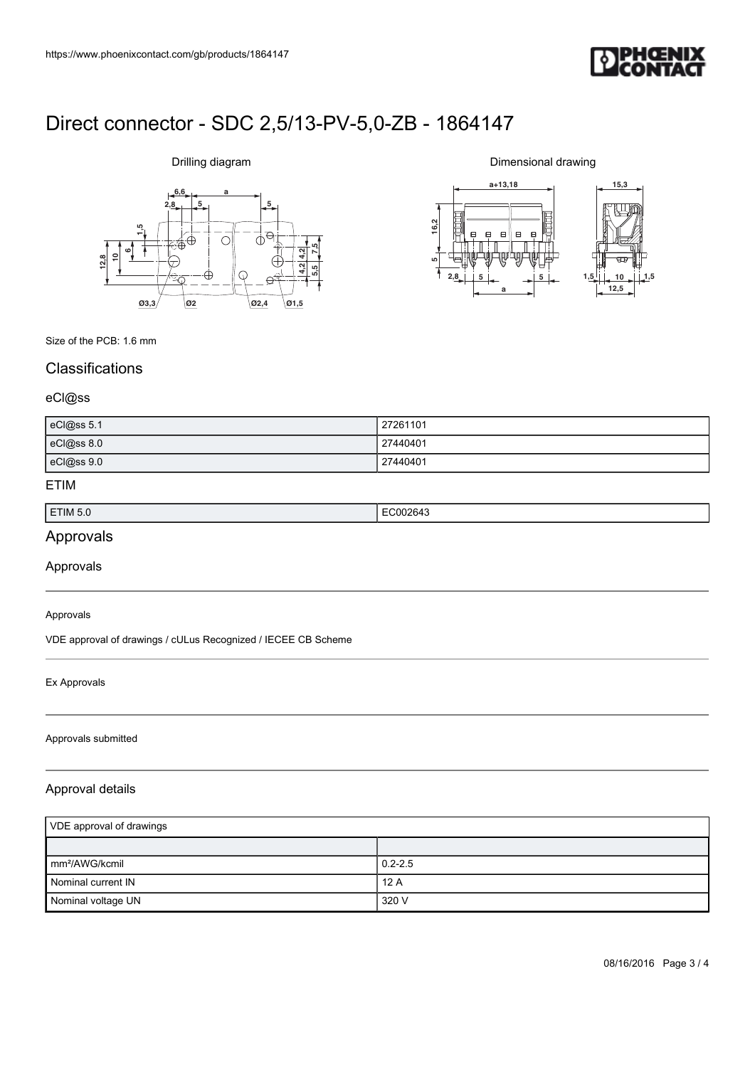

# Drilling diagram



Dimensional drawing



Size of the PCB: 1.6 mm

### **Classifications**

### eCl@ss

| eCl@ss 5.1 | 27261101 |
|------------|----------|
| eCl@ss 8.0 | 27440401 |
| eCl@ss 9.0 | 27440401 |

### ETIM

| ETIM 5.0 | . .<br>. |
|----------|----------|
|          |          |

# Approvals

Approvals

#### Approvals

VDE approval of drawings / cULus Recognized / IECEE CB Scheme

### Ex Approvals

#### Approvals submitted

### Approval details

| VDE approval of drawings   |             |
|----------------------------|-------------|
|                            |             |
| mm <sup>2</sup> /AWG/kcmil | $0.2 - 2.5$ |
| Nominal current IN         | 12A         |
| Nominal voltage UN         | 320 V       |